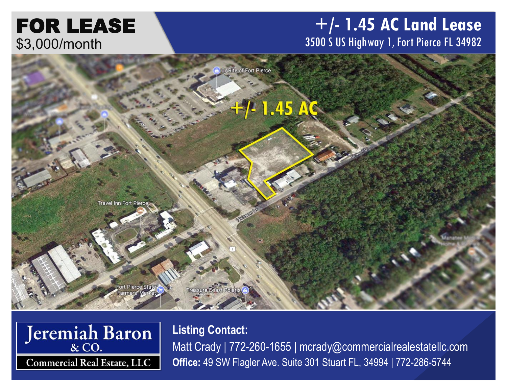# FOR LEASE \$3,000/month

### **+/- 1.45 AC Land Lease** 3500 S US Highway 1, Fort Pierce FL 34982





**Listing Contact:** Matt Crady | 772-260-1655 | mcrady@commercialrealestatellc.com **Office:** 49 SW Flagler Ave. Suite 301 Stuart FL, 34994 | 772-286-5744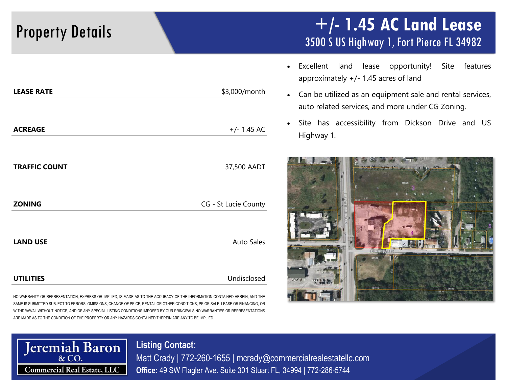### Property Details **+/- 1.45 AC Land Lease** 3500 S US Highway 1, Fort Pierce FL 34982

- Excellent land lease opportunity! Site features approximately +/- 1.45 acres of land
- Can be utilized as an equipment sale and rental services, auto related services, and more under CG Zoning.
- Site has accessibility from Dickson Drive and US Highway 1.



| -- - - - - - -       | 40,000,1110111       |
|----------------------|----------------------|
|                      |                      |
| <b>ACREAGE</b>       | $+/- 1.45$ AC        |
| <b>TRAFFIC COUNT</b> | 37,500 AADT          |
|                      |                      |
| <b>ZONING</b>        | CG - St Lucie County |
| <b>LAND USE</b>      | <b>Auto Sales</b>    |
| <b>UTILITIES</b>     | Undisclosed          |

**LEASE RATE** \$3,000/month

NO WARRANTY OR REPRESENTATION, EXPRESS OR IMPLIED, IS MADE AS TO THE ACCURACY OF THE INFORMATION CONTAINED HEREIN, AND THE SAME IS SUBMITTED SUBJECT TO ERRORS, OMISSIONS, CHANGE OF PRICE, RENTAL OR OTHER CONDITIONS, PRIOR SALE, LEASE OR FINANCING, OR WITHDRAWAL WITHOUT NOTICE, AND OF ANY SPECIAL LISTING CONDITIONS IMPOSED BY OUR PRINCIPALS NO WARRANTIES OR REPRESENTATIONS ARE MADE AS TO THE CONDITION OF THE PROPERTY OR ANY HAZARDS CONTAINED THEREIN ARE ANY TO BE IMPLIED.



Matt Crady | 772-260-1655 | mcrady@commercialrealestatellc.com **Office:** 49 SW Flagler Ave. Suite 301 Stuart FL, 34994 | 772-286-5744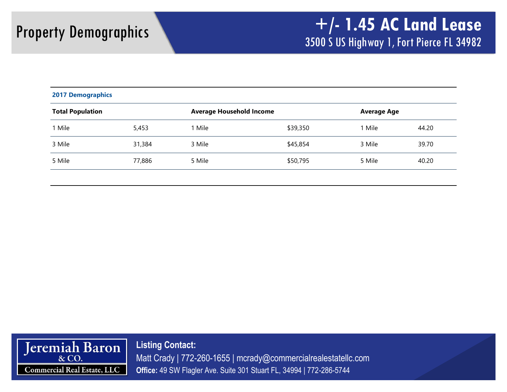| <b>2017 Demographics</b>                                   |        |        |                    |        |       |  |
|------------------------------------------------------------|--------|--------|--------------------|--------|-------|--|
| <b>Total Population</b><br><b>Average Household Income</b> |        |        | <b>Average Age</b> |        |       |  |
| 1 Mile                                                     | 5,453  | 1 Mile | \$39,350           | 1 Mile | 44.20 |  |
| 3 Mile                                                     | 31,384 | 3 Mile | \$45,854           | 3 Mile | 39.70 |  |
| 5 Mile                                                     | 77,886 | 5 Mile | \$50,795           | 5 Mile | 40.20 |  |



**Listing Contact:** Matt Crady | 772-260-1655 | mcrady@commercialrealestatellc.com **Office:** 49 SW Flagler Ave. Suite 301 Stuart FL, 34994 | 772-286-5744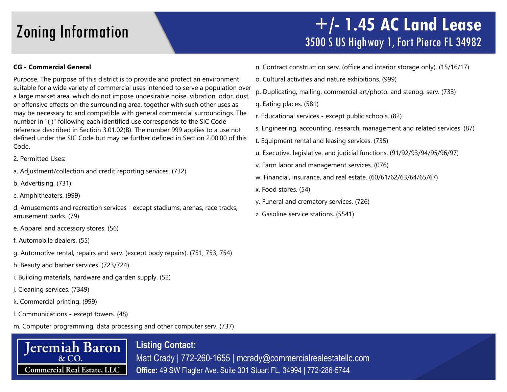### Zoning Information **+/- 1.45 AC Land Lease** 3500 S US Highway 1, Fort Pierce FL 34982

### **CG - Commercial General**

Purpose. The purpose of this district is to provide and protect an environment suitable for a wide variety of commercial uses intended to serve a population over a large market area, which do not impose undesirable noise, vibration, odor, dust, or offensive effects on the surrounding area, together with such other uses as may be necessary to and compatible with general commercial surroundings. The number in "( )" following each identified use corresponds to the SIC Code reference described in Section 3.01.02(B). The number 999 applies to a use not defined under the SIC Code but may be further defined in Section 2.00.00 of this Code.

2. Permitted Uses:

a. Adjustment/collection and credit reporting services. (732)

b. Advertising. (731)

c. Amphitheaters. (999)

d. Amusements and recreation services - except stadiums, arenas, race tracks, amusement parks. (79)

- e. Apparel and accessory stores. (56)
- f. Automobile dealers. (55)
- g. Automotive rental, repairs and serv. (except body repairs). (751, 753, 754)
- h. Beauty and barber services. (723/724)
- i. Building materials, hardware and garden supply. (52)
- j. Cleaning services. (7349)
- k. Commercial printing. (999)
- l. Communications except towers. (48)
- m. Computer programming, data processing and other computer serv. (737)



**Listing Contact:** Matt Crady | 772-260-1655 | mcrady@commercialrealestatellc.com **Office:** 49 SW Flagler Ave. Suite 301 Stuart FL, 34994 | 772-286-5744

- n. Contract construction serv. (office and interior storage only). (15/16/17)
- o. Cultural activities and nature exhibitions. (999)
- p. Duplicating, mailing, commercial art/photo. and stenog. serv. (733)
- q. Eating places. (581)
- r. Educational services except public schools. (82)
- s. Engineering, accounting, research, management and related services. (87)
- t. Equipment rental and leasing services. (735)
- u. Executive, legislative, and judicial functions. (91/92/93/94/95/96/97)
- v. Farm labor and management services. (076)
- w. Financial, insurance, and real estate. (60/61/62/63/64/65/67)
- x. Food stores. (54)
- y. Funeral and crematory services. (726)
- z. Gasoline service stations. (5541)